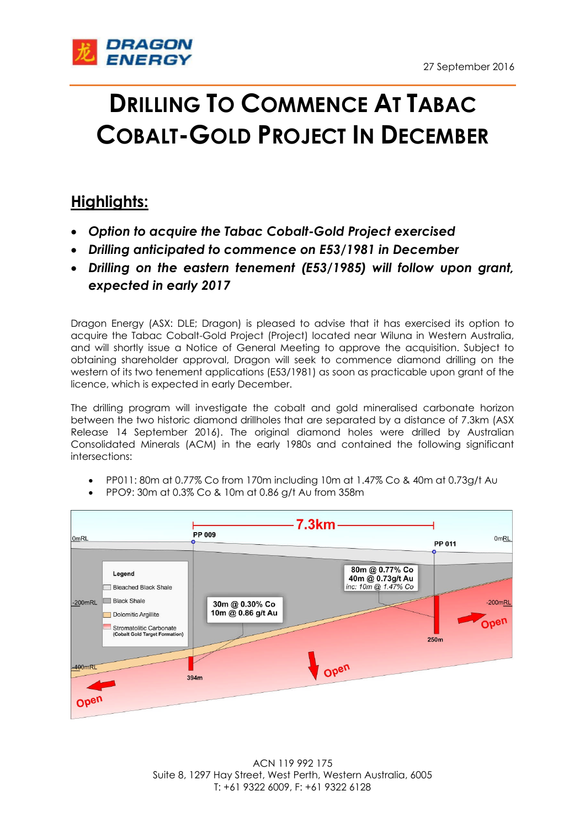

## **DRILLING TO COMMENCE AT TABAC COBALT-GOLD PROJECT IN DECEMBER**

## **Highlights:**

- *Option to acquire the Tabac Cobalt-Gold Project exercised*
- *Drilling anticipated to commence on E53/1981 in December*
- *Drilling on the eastern tenement (E53/1985) will follow upon grant, expected in early 2017*

Dragon Energy (ASX: DLE; Dragon) is pleased to advise that it has exercised its option to acquire the Tabac Cobalt-Gold Project (Project) located near Wiluna in Western Australia, and will shortly issue a Notice of General Meeting to approve the acquisition. Subject to obtaining shareholder approval, Dragon will seek to commence diamond drilling on the western of its two tenement applications (E53/1981) as soon as practicable upon grant of the licence, which is expected in early December.

The drilling program will investigate the cobalt and gold mineralised carbonate horizon between the two historic diamond drillholes that are separated by a distance of 7.3km (ASX Release 14 September 2016). The original diamond holes were drilled by Australian Consolidated Minerals (ACM) in the early 1980s and contained the following significant intersections:

- PP011: 80m at 0.77% Co from 170m including 10m at 1.47% Co & 40m at 0.73g/t Au
- PPO9: 30m at 0.3% Co & 10m at 0.86 g/t Au from 358m